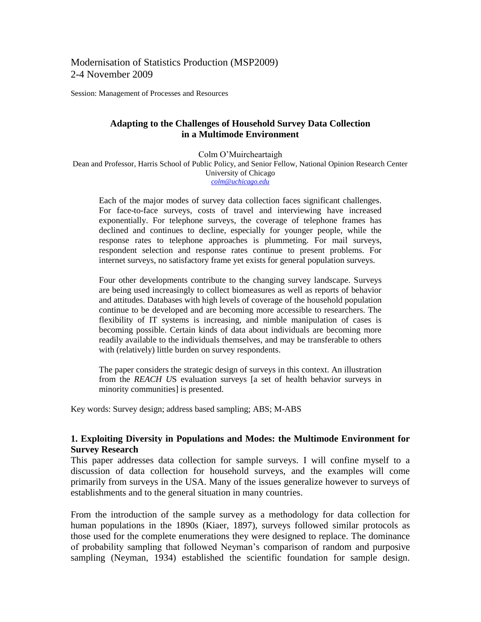Modernisation of Statistics Production (MSP2009) 2-4 November 2009

Session: Management of Processes and Resources

### **Adapting to the Challenges of Household Survey Data Collection in a Multimode Environment**

Colm O'Muircheartaigh Dean and Professor, Harris School of Public Policy, and Senior Fellow, National Opinion Research Center University of Chicago *[colm@uchicago.edu](mailto:colm@uchicago.edu)*

Each of the major modes of survey data collection faces significant challenges. For face-to-face surveys, costs of travel and interviewing have increased exponentially. For telephone surveys, the coverage of telephone frames has declined and continues to decline, especially for younger people, while the response rates to telephone approaches is plummeting. For mail surveys, respondent selection and response rates continue to present problems. For internet surveys, no satisfactory frame yet exists for general population surveys.

Four other developments contribute to the changing survey landscape. Surveys are being used increasingly to collect biomeasures as well as reports of behavior and attitudes. Databases with high levels of coverage of the household population continue to be developed and are becoming more accessible to researchers. The flexibility of IT systems is increasing, and nimble manipulation of cases is becoming possible. Certain kinds of data about individuals are becoming more readily available to the individuals themselves, and may be transferable to others with (relatively) little burden on survey respondents.

The paper considers the strategic design of surveys in this context. An illustration from the *REACH U*S evaluation surveys [a set of health behavior surveys in minority communities] is presented.

Key words: Survey design; address based sampling; ABS; M-ABS

### **1. Exploiting Diversity in Populations and Modes: the Multimode Environment for Survey Research**

This paper addresses data collection for sample surveys. I will confine myself to a discussion of data collection for household surveys, and the examples will come primarily from surveys in the USA. Many of the issues generalize however to surveys of establishments and to the general situation in many countries.

From the introduction of the sample survey as a methodology for data collection for human populations in the 1890s (Kiaer, 1897), surveys followed similar protocols as those used for the complete enumerations they were designed to replace. The dominance of probability sampling that followed Neyman's comparison of random and purposive sampling (Neyman, 1934) established the scientific foundation for sample design.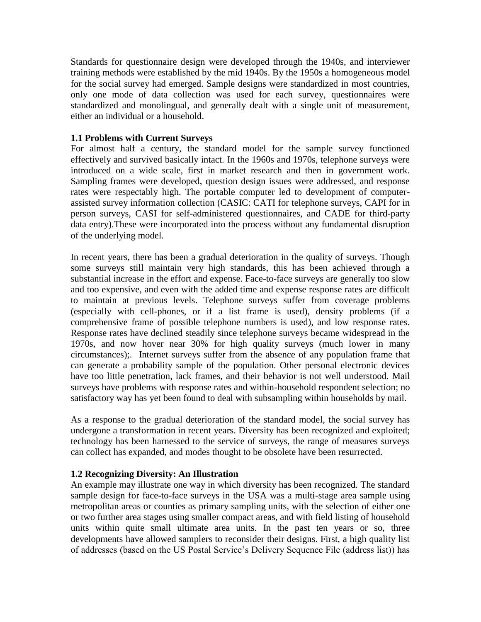Standards for questionnaire design were developed through the 1940s, and interviewer training methods were established by the mid 1940s. By the 1950s a homogeneous model for the social survey had emerged. Sample designs were standardized in most countries, only one mode of data collection was used for each survey, questionnaires were standardized and monolingual, and generally dealt with a single unit of measurement, either an individual or a household.

## **1.1 Problems with Current Surveys**

For almost half a century, the standard model for the sample survey functioned effectively and survived basically intact. In the 1960s and 1970s, telephone surveys were introduced on a wide scale, first in market research and then in government work. Sampling frames were developed, question design issues were addressed, and response rates were respectably high. The portable computer led to development of computerassisted survey information collection (CASIC: CATI for telephone surveys, CAPI for in person surveys, CASI for self-administered questionnaires, and CADE for third-party data entry).These were incorporated into the process without any fundamental disruption of the underlying model.

In recent years, there has been a gradual deterioration in the quality of surveys. Though some surveys still maintain very high standards, this has been achieved through a substantial increase in the effort and expense. Face-to-face surveys are generally too slow and too expensive, and even with the added time and expense response rates are difficult to maintain at previous levels. Telephone surveys suffer from coverage problems (especially with cell-phones, or if a list frame is used), density problems (if a comprehensive frame of possible telephone numbers is used), and low response rates. Response rates have declined steadily since telephone surveys became widespread in the 1970s, and now hover near 30% for high quality surveys (much lower in many circumstances);. Internet surveys suffer from the absence of any population frame that can generate a probability sample of the population. Other personal electronic devices have too little penetration, lack frames, and their behavior is not well understood. Mail surveys have problems with response rates and within-household respondent selection; no satisfactory way has yet been found to deal with subsampling within households by mail.

As a response to the gradual deterioration of the standard model, the social survey has undergone a transformation in recent years. Diversity has been recognized and exploited; technology has been harnessed to the service of surveys, the range of measures surveys can collect has expanded, and modes thought to be obsolete have been resurrected.

### **1.2 Recognizing Diversity: An Illustration**

An example may illustrate one way in which diversity has been recognized. The standard sample design for face-to-face surveys in the USA was a multi-stage area sample using metropolitan areas or counties as primary sampling units, with the selection of either one or two further area stages using smaller compact areas, and with field listing of household units within quite small ultimate area units. In the past ten years or so, three developments have allowed samplers to reconsider their designs. First, a high quality list of addresses (based on the US Postal Service's Delivery Sequence File (address list)) has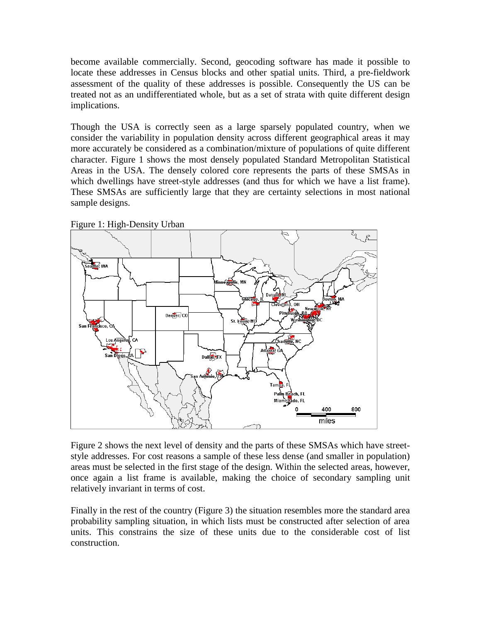become available commercially. Second, geocoding software has made it possible to locate these addresses in Census blocks and other spatial units. Third, a pre-fieldwork assessment of the quality of these addresses is possible. Consequently the US can be treated not as an undifferentiated whole, but as a set of strata with quite different design implications.

Though the USA is correctly seen as a large sparsely populated country, when we consider the variability in population density across different geographical areas it may more accurately be considered as a combination/mixture of populations of quite different character. Figure 1 shows the most densely populated Standard Metropolitan Statistical Areas in the USA. The densely colored core represents the parts of these SMSAs in which dwellings have street-style addresses (and thus for which we have a list frame). These SMSAs are sufficiently large that they are certainty selections in most national sample designs.



Figure 1: High-Density Urban

Figure 2 shows the next level of density and the parts of these SMSAs which have streetstyle addresses. For cost reasons a sample of these less dense (and smaller in population) areas must be selected in the first stage of the design. Within the selected areas, however, once again a list frame is available, making the choice of secondary sampling unit relatively invariant in terms of cost.

Finally in the rest of the country (Figure 3) the situation resembles more the standard area probability sampling situation, in which lists must be constructed after selection of area units. This constrains the size of these units due to the considerable cost of list construction.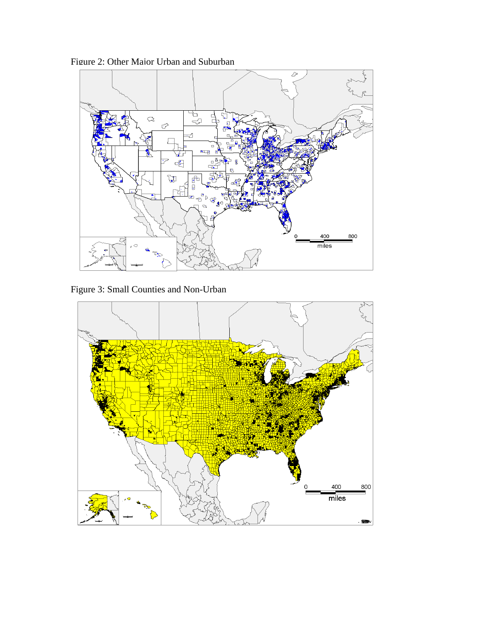Figure 2: Other Major Urban and Suburban



Figure 3: Small Counties and Non-Urban

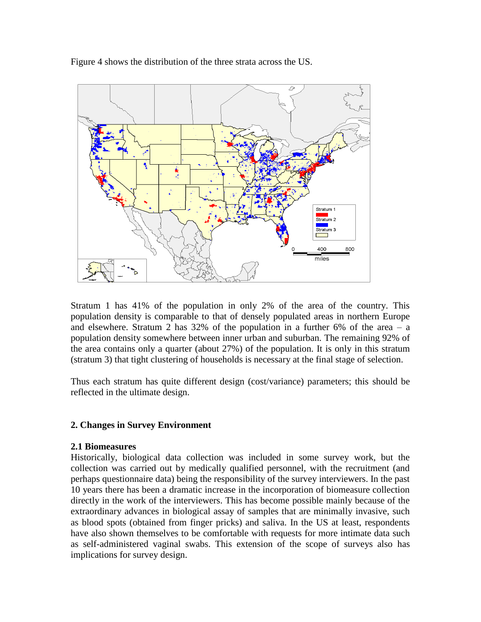Figure 4 shows the distribution of the three strata across the US.



Stratum 1 has 41% of the population in only 2% of the area of the country. This population density is comparable to that of densely populated areas in northern Europe and elsewhere. Stratum 2 has  $32\%$  of the population in a further 6% of the area – a population density somewhere between inner urban and suburban. The remaining 92% of the area contains only a quarter (about 27%) of the population. It is only in this stratum (stratum 3) that tight clustering of households is necessary at the final stage of selection.

Thus each stratum has quite different design (cost/variance) parameters; this should be reflected in the ultimate design.

### **2. Changes in Survey Environment**

### **2.1 Biomeasures**

Historically, biological data collection was included in some survey work, but the collection was carried out by medically qualified personnel, with the recruitment (and perhaps questionnaire data) being the responsibility of the survey interviewers. In the past 10 years there has been a dramatic increase in the incorporation of biomeasure collection directly in the work of the interviewers. This has become possible mainly because of the extraordinary advances in biological assay of samples that are minimally invasive, such as blood spots (obtained from finger pricks) and saliva. In the US at least, respondents have also shown themselves to be comfortable with requests for more intimate data such as self-administered vaginal swabs. This extension of the scope of surveys also has implications for survey design.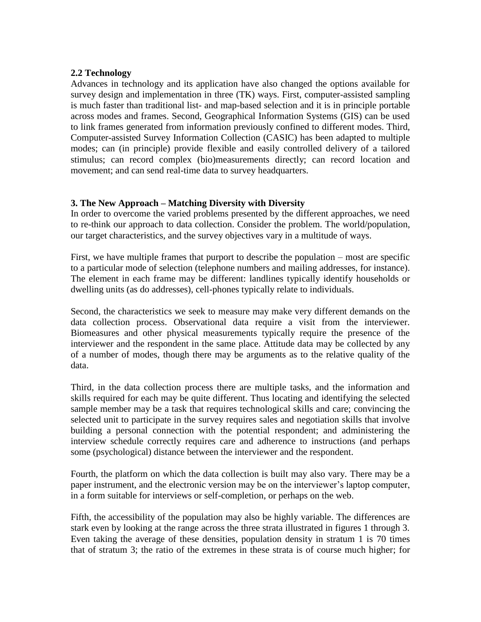### **2.2 Technology**

Advances in technology and its application have also changed the options available for survey design and implementation in three (TK) ways. First, computer-assisted sampling is much faster than traditional list- and map-based selection and it is in principle portable across modes and frames. Second, Geographical Information Systems (GIS) can be used to link frames generated from information previously confined to different modes. Third, Computer-assisted Survey Information Collection (CASIC) has been adapted to multiple modes; can (in principle) provide flexible and easily controlled delivery of a tailored stimulus; can record complex (bio)measurements directly; can record location and movement; and can send real-time data to survey headquarters.

### **3. The New Approach – Matching Diversity with Diversity**

In order to overcome the varied problems presented by the different approaches, we need to re-think our approach to data collection. Consider the problem. The world/population, our target characteristics, and the survey objectives vary in a multitude of ways.

First, we have multiple frames that purport to describe the population – most are specific to a particular mode of selection (telephone numbers and mailing addresses, for instance). The element in each frame may be different: landlines typically identify households or dwelling units (as do addresses), cell-phones typically relate to individuals.

Second, the characteristics we seek to measure may make very different demands on the data collection process. Observational data require a visit from the interviewer. Biomeasures and other physical measurements typically require the presence of the interviewer and the respondent in the same place. Attitude data may be collected by any of a number of modes, though there may be arguments as to the relative quality of the data.

Third, in the data collection process there are multiple tasks, and the information and skills required for each may be quite different. Thus locating and identifying the selected sample member may be a task that requires technological skills and care; convincing the selected unit to participate in the survey requires sales and negotiation skills that involve building a personal connection with the potential respondent; and administering the interview schedule correctly requires care and adherence to instructions (and perhaps some (psychological) distance between the interviewer and the respondent.

Fourth, the platform on which the data collection is built may also vary. There may be a paper instrument, and the electronic version may be on the interviewer's laptop computer, in a form suitable for interviews or self-completion, or perhaps on the web.

Fifth, the accessibility of the population may also be highly variable. The differences are stark even by looking at the range across the three strata illustrated in figures 1 through 3. Even taking the average of these densities, population density in stratum 1 is 70 times that of stratum 3; the ratio of the extremes in these strata is of course much higher; for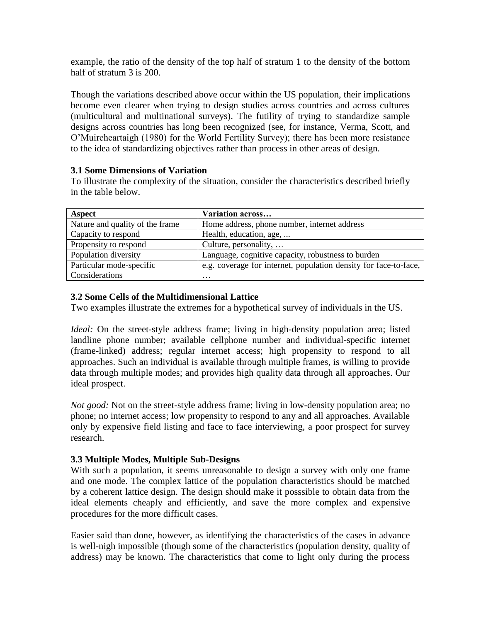example, the ratio of the density of the top half of stratum 1 to the density of the bottom half of stratum 3 is 200.

Though the variations described above occur within the US population, their implications become even clearer when trying to design studies across countries and across cultures (multicultural and multinational surveys). The futility of trying to standardize sample designs across countries has long been recognized (see, for instance, Verma, Scott, and O'Muircheartaigh (1980) for the World Fertility Survey); there has been more resistance to the idea of standardizing objectives rather than process in other areas of design.

## **3.1 Some Dimensions of Variation**

To illustrate the complexity of the situation, consider the characteristics described briefly in the table below.

| Aspect                          | Variation across                                                 |
|---------------------------------|------------------------------------------------------------------|
| Nature and quality of the frame | Home address, phone number, internet address                     |
| Capacity to respond             | Health, education, age,                                          |
| Propensity to respond           | Culture, personality,                                            |
| Population diversity            | Language, cognitive capacity, robustness to burden               |
| Particular mode-specific        | e.g. coverage for internet, population density for face-to-face, |
| Considerations                  | $\ddotsc$                                                        |

## **3.2 Some Cells of the Multidimensional Lattice**

Two examples illustrate the extremes for a hypothetical survey of individuals in the US.

*Ideal:* On the street-style address frame; living in high-density population area; listed landline phone number; available cellphone number and individual-specific internet (frame-linked) address; regular internet access; high propensity to respond to all approaches. Such an individual is available through multiple frames, is willing to provide data through multiple modes; and provides high quality data through all approaches. Our ideal prospect.

*Not good:* Not on the street-style address frame; living in low-density population area; no phone; no internet access; low propensity to respond to any and all approaches. Available only by expensive field listing and face to face interviewing, a poor prospect for survey research.

# **3.3 Multiple Modes, Multiple Sub-Designs**

With such a population, it seems unreasonable to design a survey with only one frame and one mode. The complex lattice of the population characteristics should be matched by a coherent lattice design. The design should make it posssible to obtain data from the ideal elements cheaply and efficiently, and save the more complex and expensive procedures for the more difficult cases.

Easier said than done, however, as identifying the characteristics of the cases in advance is well-nigh impossible (though some of the characteristics (population density, quality of address) may be known. The characteristics that come to light only during the process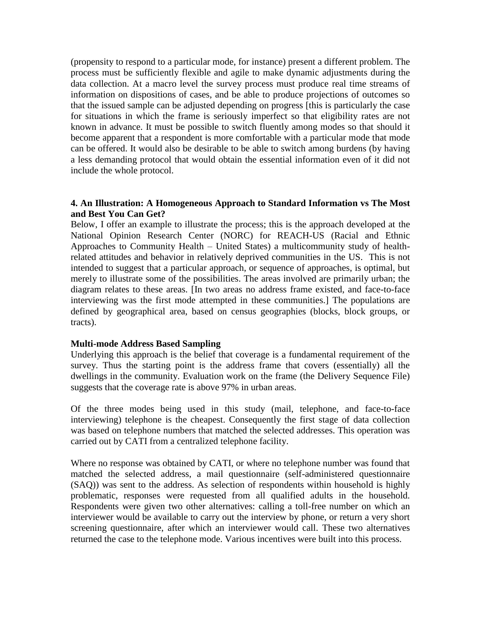(propensity to respond to a particular mode, for instance) present a different problem. The process must be sufficiently flexible and agile to make dynamic adjustments during the data collection. At a macro level the survey process must produce real time streams of information on dispositions of cases, and be able to produce projections of outcomes so that the issued sample can be adjusted depending on progress [this is particularly the case for situations in which the frame is seriously imperfect so that eligibility rates are not known in advance. It must be possible to switch fluently among modes so that should it become apparent that a respondent is more comfortable with a particular mode that mode can be offered. It would also be desirable to be able to switch among burdens (by having a less demanding protocol that would obtain the essential information even of it did not include the whole protocol.

#### **4. An Illustration: A Homogeneous Approach to Standard Information vs The Most and Best You Can Get?**

Below, I offer an example to illustrate the process; this is the approach developed at the National Opinion Research Center (NORC) for REACH-US (Racial and Ethnic Approaches to Community Health – United States) a multicommunity study of healthrelated attitudes and behavior in relatively deprived communities in the US. This is not intended to suggest that a particular approach, or sequence of approaches, is optimal, but merely to illustrate some of the possibilities. The areas involved are primarily urban; the diagram relates to these areas. [In two areas no address frame existed, and face-to-face interviewing was the first mode attempted in these communities.] The populations are defined by geographical area, based on census geographies (blocks, block groups, or tracts).

### **Multi-mode Address Based Sampling**

Underlying this approach is the belief that coverage is a fundamental requirement of the survey. Thus the starting point is the address frame that covers (essentially) all the dwellings in the community. Evaluation work on the frame (the Delivery Sequence File) suggests that the coverage rate is above 97% in urban areas.

Of the three modes being used in this study (mail, telephone, and face-to-face interviewing) telephone is the cheapest. Consequently the first stage of data collection was based on telephone numbers that matched the selected addresses. This operation was carried out by CATI from a centralized telephone facility.

Where no response was obtained by CATI, or where no telephone number was found that matched the selected address, a mail questionnaire (self-administered questionnaire (SAQ)) was sent to the address. As selection of respondents within household is highly problematic, responses were requested from all qualified adults in the household. Respondents were given two other alternatives: calling a toll-free number on which an interviewer would be available to carry out the interview by phone, or return a very short screening questionnaire, after which an interviewer would call. These two alternatives returned the case to the telephone mode. Various incentives were built into this process.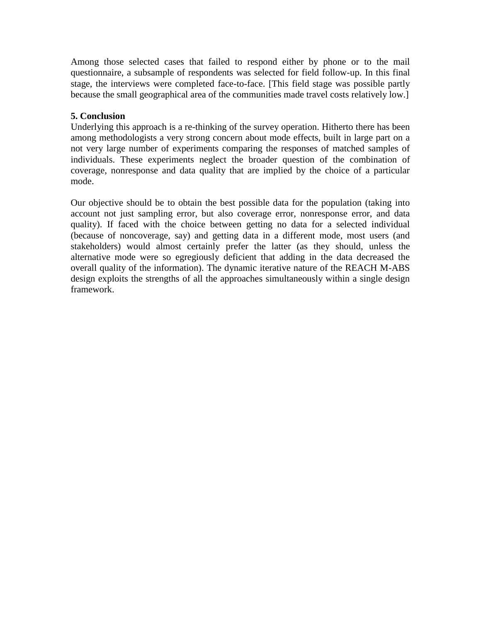Among those selected cases that failed to respond either by phone or to the mail questionnaire, a subsample of respondents was selected for field follow-up. In this final stage, the interviews were completed face-to-face. [This field stage was possible partly because the small geographical area of the communities made travel costs relatively low.]

# **5. Conclusion**

Underlying this approach is a re-thinking of the survey operation. Hitherto there has been among methodologists a very strong concern about mode effects, built in large part on a not very large number of experiments comparing the responses of matched samples of individuals. These experiments neglect the broader question of the combination of coverage, nonresponse and data quality that are implied by the choice of a particular mode.

Our objective should be to obtain the best possible data for the population (taking into account not just sampling error, but also coverage error, nonresponse error, and data quality). If faced with the choice between getting no data for a selected individual (because of noncoverage, say) and getting data in a different mode, most users (and stakeholders) would almost certainly prefer the latter (as they should, unless the alternative mode were so egregiously deficient that adding in the data decreased the overall quality of the information). The dynamic iterative nature of the REACH M-ABS design exploits the strengths of all the approaches simultaneously within a single design framework.